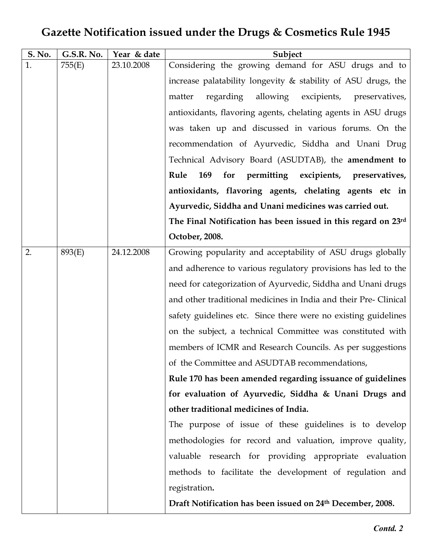## Gazette Notification issued under the Drugs & Cosmetics Rule 1945

| S. No. | G.S.R. No. | Year & date | Subject                                                          |
|--------|------------|-------------|------------------------------------------------------------------|
| 1.     | 755(E)     | 23.10.2008  | Considering the growing demand for ASU drugs and to              |
|        |            |             | increase palatability longevity $\&$ stability of ASU drugs, the |
|        |            |             | allowing excipients,<br>regarding<br>matter<br>preservatives,    |
|        |            |             | antioxidants, flavoring agents, chelating agents in ASU drugs    |
|        |            |             | was taken up and discussed in various forums. On the             |
|        |            |             | recommendation of Ayurvedic, Siddha and Unani Drug               |
|        |            |             | Technical Advisory Board (ASUDTAB), the amendment to             |
|        |            |             | Rule<br>169<br>for permitting excipients,<br>preservatives,      |
|        |            |             | antioxidants, flavoring agents, chelating agents etc in          |
|        |            |             | Ayurvedic, Siddha and Unani medicines was carried out.           |
|        |            |             | The Final Notification has been issued in this regard on 23rd    |
|        |            |             | October, 2008.                                                   |
| 2.     | 893(E)     | 24.12.2008  | Growing popularity and acceptability of ASU drugs globally       |
|        |            |             | and adherence to various regulatory provisions has led to the    |
|        |            |             | need for categorization of Ayurvedic, Siddha and Unani drugs     |
|        |            |             | and other traditional medicines in India and their Pre-Clinical  |
|        |            |             | safety guidelines etc. Since there were no existing guidelines   |
|        |            |             | on the subject, a technical Committee was constituted with       |
|        |            |             | members of ICMR and Research Councils. As per suggestions        |
|        |            |             | of the Committee and ASUDTAB recommendations,                    |
|        |            |             | Rule 170 has been amended regarding issuance of guidelines       |
|        |            |             | for evaluation of Ayurvedic, Siddha & Unani Drugs and            |
|        |            |             | other traditional medicines of India.                            |
|        |            |             | The purpose of issue of these guidelines is to develop           |
|        |            |             | methodologies for record and valuation, improve quality,         |
|        |            |             | valuable research for providing appropriate evaluation           |
|        |            |             | methods to facilitate the development of regulation and          |
|        |            |             | registration.                                                    |
|        |            |             | Draft Notification has been issued on 24th December, 2008.       |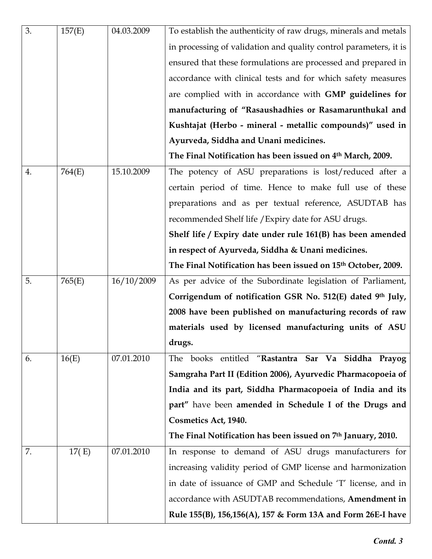| 3. | 157(E) | 04.03.2009 | To establish the authenticity of raw drugs, minerals and metals   |
|----|--------|------------|-------------------------------------------------------------------|
|    |        |            | in processing of validation and quality control parameters, it is |
|    |        |            | ensured that these formulations are processed and prepared in     |
|    |        |            | accordance with clinical tests and for which safety measures      |
|    |        |            | are complied with in accordance with GMP guidelines for           |
|    |        |            | manufacturing of "Rasaushadhies or Rasamarunthukal and            |
|    |        |            | Kushtajat (Herbo - mineral - metallic compounds)" used in         |
|    |        |            | Ayurveda, Siddha and Unani medicines.                             |
|    |        |            | The Final Notification has been issued on 4th March, 2009.        |
| 4. | 764(E) | 15.10.2009 | The potency of ASU preparations is lost/reduced after a           |
|    |        |            | certain period of time. Hence to make full use of these           |
|    |        |            | preparations and as per textual reference, ASUDTAB has            |
|    |        |            | recommended Shelf life / Expiry date for ASU drugs.               |
|    |        |            | Shelf life / Expiry date under rule 161(B) has been amended       |
|    |        |            | in respect of Ayurveda, Siddha & Unani medicines.                 |
|    |        |            | The Final Notification has been issued on 15th October, 2009.     |
| 5. | 765(E) | 16/10/2009 | As per advice of the Subordinate legislation of Parliament,       |
|    |        |            | Corrigendum of notification GSR No. 512(E) dated 9th July,        |
|    |        |            | 2008 have been published on manufacturing records of raw          |
|    |        |            | materials used by licensed manufacturing units of ASU             |
|    |        |            | drugs.                                                            |
| 6. | 16(E)  | 07.01.2010 | The books entitled "Rastantra Sar Va Siddha Prayog                |
|    |        |            | Samgraha Part II (Edition 2006), Ayurvedic Pharmacopoeia of       |
|    |        |            | India and its part, Siddha Pharmacopoeia of India and its         |
|    |        |            | part" have been amended in Schedule I of the Drugs and            |
|    |        |            | Cosmetics Act, 1940.                                              |
|    |        |            | The Final Notification has been issued on 7th January, 2010.      |
| 7. | 17(E)  | 07.01.2010 | In response to demand of ASU drugs manufacturers for              |
|    |        |            | increasing validity period of GMP license and harmonization       |
|    |        |            | in date of issuance of GMP and Schedule 'T' license, and in       |
|    |        |            | accordance with ASUDTAB recommendations, Amendment in             |
|    |        |            | Rule 155(B), 156,156(A), 157 & Form 13A and Form 26E-I have       |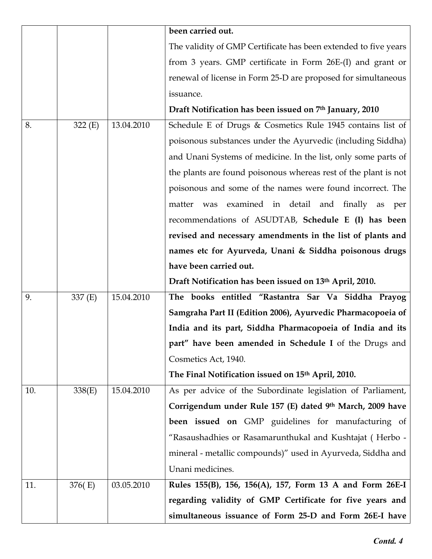|     |         |            | been carried out.                                               |
|-----|---------|------------|-----------------------------------------------------------------|
|     |         |            | The validity of GMP Certificate has been extended to five years |
|     |         |            | from 3 years. GMP certificate in Form 26E-(I) and grant or      |
|     |         |            | renewal of license in Form 25-D are proposed for simultaneous   |
|     |         |            | issuance.                                                       |
|     |         |            | Draft Notification has been issued on 7th January, 2010         |
| 8.  | 322(E)  | 13.04.2010 | Schedule E of Drugs & Cosmetics Rule 1945 contains list of      |
|     |         |            | poisonous substances under the Ayurvedic (including Siddha)     |
|     |         |            | and Unani Systems of medicine. In the list, only some parts of  |
|     |         |            | the plants are found poisonous whereas rest of the plant is not |
|     |         |            | poisonous and some of the names were found incorrect. The       |
|     |         |            | was examined in detail and finally as<br>matter<br>per          |
|     |         |            | recommendations of ASUDTAB, Schedule E (I) has been             |
|     |         |            | revised and necessary amendments in the list of plants and      |
|     |         |            | names etc for Ayurveda, Unani & Siddha poisonous drugs          |
|     |         |            | have been carried out.                                          |
|     |         |            | Draft Notification has been issued on 13th April, 2010.         |
| 9.  | 337 (E) | 15.04.2010 | The books entitled "Rastantra Sar Va Siddha Prayog              |
|     |         |            | Samgraha Part II (Edition 2006), Ayurvedic Pharmacopoeia of     |
|     |         |            | India and its part, Siddha Pharmacopoeia of India and its       |
|     |         |            | part" have been amended in Schedule I of the Drugs and          |
|     |         |            | Cosmetics Act, 1940.                                            |
|     |         |            | The Final Notification issued on 15th April, 2010.              |
| 10. | 338(E)  | 15.04.2010 | As per advice of the Subordinate legislation of Parliament,     |
|     |         |            | Corrigendum under Rule 157 (E) dated 9th March, 2009 have       |
|     |         |            | <b>been issued on</b> GMP guidelines for manufacturing of       |
|     |         |            | "Rasaushadhies or Rasamarunthukal and Kushtajat (Herbo -        |
|     |         |            | mineral - metallic compounds)" used in Ayurveda, Siddha and     |
|     |         |            | Unani medicines.                                                |
| 11. | 376(E)  | 03.05.2010 | Rules 155(B), 156, 156(A), 157, Form 13 A and Form 26E-I        |
|     |         |            | regarding validity of GMP Certificate for five years and        |
|     |         |            | simultaneous issuance of Form 25-D and Form 26E-I have          |